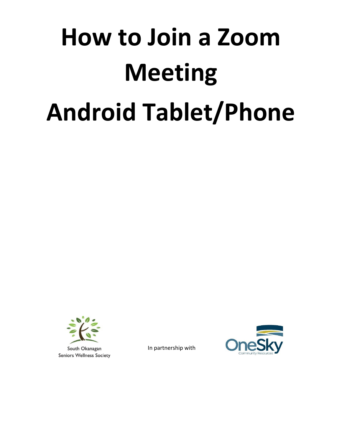# **How to Join a Zoom Meeting Android Tablet/Phone**



In partnership with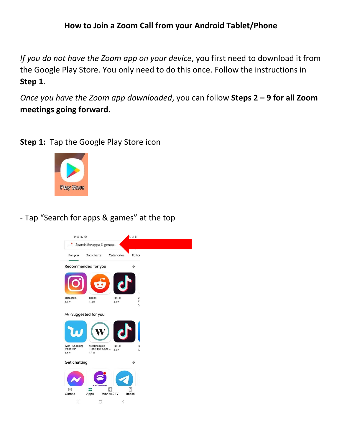#### **How to Join a Zoom Call from your Android Tablet/Phone**

*If you do not have the Zoom app on your device*, you first need to download it from the Google Play Store. You only need to do this once. Follow the instructions in **Step 1**.

*Once you have the Zoom app downloaded*, you can follow **Steps 2 – 9 for all Zoom meetings going forward.**

**Step 1:** Tap the Google Play Store icon



- Tap "Search for apps & games" at the top

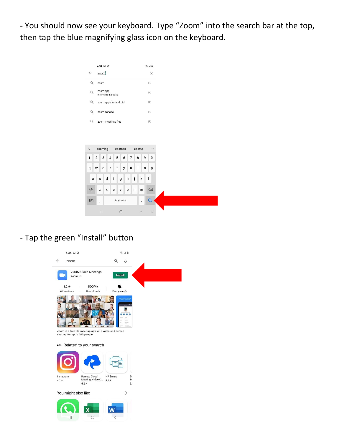**-** You should now see your keyboard. Type "Zoom" into the search bar at the top, then tap the blue magnifying glass icon on the keyboard.

|              | 4:34 国 @           |                               |   |              |              |                     |                     |       | 第五章                 |           |
|--------------|--------------------|-------------------------------|---|--------------|--------------|---------------------|---------------------|-------|---------------------|-----------|
| $\leftarrow$ | zoom               |                               |   |              |              |                     |                     |       |                     | $\times$  |
| $\alpha$     | zoom               |                               |   |              |              |                     |                     |       | $\overline{\wedge}$ |           |
| $\alpha$     |                    | zoom app<br>in Movies & Books |   |              |              |                     | $\overline{\wedge}$ |       |                     |           |
| $\alpha$     |                    | zoom apps for android         |   |              |              |                     | $\overline{\wedge}$ |       |                     |           |
| $\alpha$     | zoom canada        |                               |   |              |              | $\overline{\wedge}$ |                     |       |                     |           |
| Q            | zoom meetings free |                               |   |              |              | $\overline{\wedge}$ |                     |       |                     |           |
|              |                    |                               |   |              |              |                     |                     |       |                     |           |
|              |                    |                               |   |              |              |                     |                     |       |                     |           |
| $\acute{}$   |                    | zooming                       |   | zoomed       |              |                     |                     | zooms |                     | $\cdots$  |
| $\mathbf{1}$ | $\overline{2}$     | 3<br>$\overline{4}$           |   |              |              |                     |                     |       |                     |           |
|              |                    |                               |   |              |              |                     |                     |       |                     |           |
|              |                    |                               | 5 |              | 6            | $\overline{7}$      | 8                   |       | 9                   | $\pmb{0}$ |
| $\mathsf{q}$ | W                  | e<br>r                        | t |              | y            | u                   | i                   |       | $\mathsf{o}$        | p         |
| a            | s                  | d                             | f | g            | $\mathsf{h}$ |                     | j                   | k     | 1                   |           |
| <b>A</b>     | Z                  | $\pmb{\mathsf{x}}$            | c | v            | b            |                     | $\mathsf{n}$        | m     |                     | $\circ$   |
| !#1          | ¥                  |                               |   | English (US) |              |                     |                     |       |                     | Q         |

## - Tap the green "Install" button

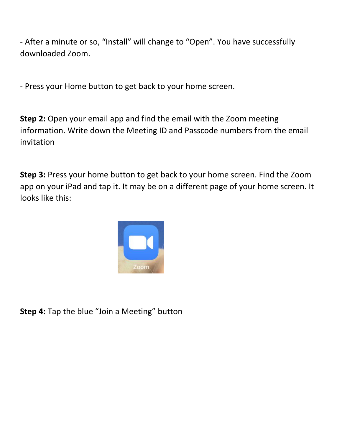- After a minute or so, "Install" will change to "Open". You have successfully downloaded Zoom.

- Press your Home button to get back to your home screen.

**Step 2:** Open your email app and find the email with the Zoom meeting information. Write down the Meeting ID and Passcode numbers from the email invitation

**Step 3:** Press your home button to get back to your home screen. Find the Zoom app on your iPad and tap it. It may be on a different page of your home screen. It looks like this:



**Step 4:** Tap the blue "Join a Meeting" button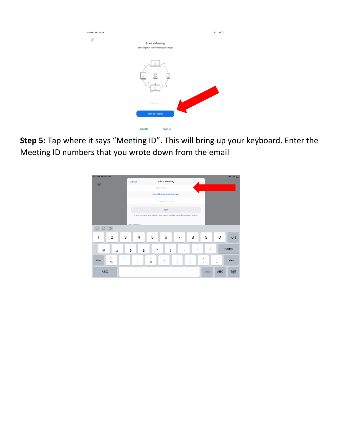| 3:34 PM Mon Dec 14 |                                                                   | $917\%$ |
|--------------------|-------------------------------------------------------------------|---------|
| ශ                  | <b>Start a Meeting</b><br>Start or join a video meeting on the go |         |
|                    | ۰<br>÷                                                            |         |
|                    | 0.1.1.1                                                           |         |
|                    | Join a Meeting                                                    |         |
|                    | Sign Up<br>Sign In                                                |         |

**Step 5:** Tap where it says "Meeting ID". This will bring up your keyboard. Enter the Meeting ID numbers that you wrote down from the email

| 3:34 PM Mon Dec 14                                                            |                                       |                                |                                                      |                             | 917%     |  |  |
|-------------------------------------------------------------------------------|---------------------------------------|--------------------------------|------------------------------------------------------|-----------------------------|----------|--|--|
| ශ                                                                             | Cancel                                | Join a Meeting                 |                                                      |                             |          |  |  |
|                                                                               |                                       | Meeting ID                     |                                                      |                             |          |  |  |
|                                                                               |                                       | Join with a personal link name |                                                      |                             |          |  |  |
|                                                                               |                                       | Screen Name                    |                                                      |                             |          |  |  |
|                                                                               |                                       | Join                           |                                                      |                             |          |  |  |
| If you received an invitation link, tap on the link again to join the meeting |                                       |                                |                                                      |                             |          |  |  |
|                                                                               | <b>JOIN OPTIONS</b>                   |                                |                                                      |                             |          |  |  |
| $\begin{array}{c} \mathbf{C} & \mathbf{C} \end{array}$                        |                                       |                                |                                                      |                             |          |  |  |
| 3<br>$\overline{2}$<br>1                                                      | 4                                     | 5<br>6                         | 8<br>7                                               | 9<br>$\Omega$               | ⊗        |  |  |
| €<br>£<br>$^{\copyright}$<br>#                                                | ¥<br>&<br>\$                          | $\mathcal{D}_\lambda$<br>*     | $\pmb{\mathsf{r}}$                                   | $^{\prime\prime}$           | return   |  |  |
| ş<br>$# + =$<br>$\%$                                                          | $\overline{\phantom{a}}$<br>$\ddot{}$ | $\sim$<br>$=$                  | $\,<$<br>$\, > \,$<br>$\cdot$<br>:<br>$\overline{ }$ | ?<br>Ţ<br>$\mathbf{r}$<br>٠ | $# + =$  |  |  |
| <b>ABC</b>                                                                    |                                       |                                |                                                      | <b>ABC</b><br>undo          | $\equiv$ |  |  |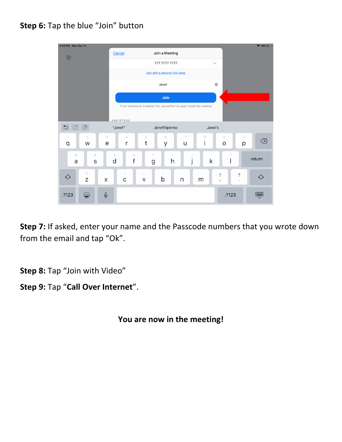### **Step 6:** Tap the blue "Join" button



**Step 7:** If asked, enter your name and the Passcode numbers that you wrote down from the email and tap "Ok".

**Step 8:** Tap "Join with Video"

**Step 9:** Tap "**Call Over Internet**".

**You are now in the meeting!**